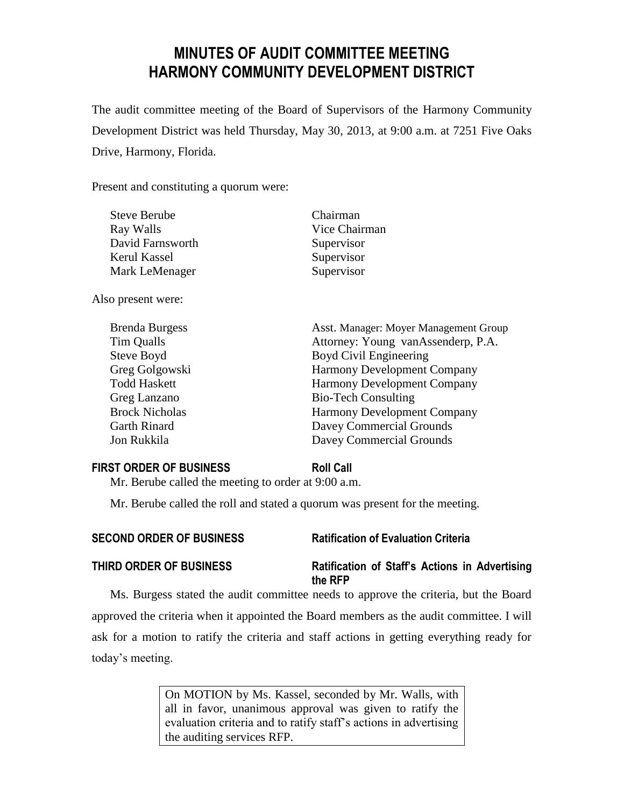# **MINUTES OF AUDIT COMMITTEE MEETING HARMONY COMMUNITY DEVELOPMENT DISTRICT**

The audit committee meeting of the Board of Supervisors of the Harmony Community Development District was held Thursday, May 30, 2013, at 9:00 a.m. at 7251 Five Oaks Drive, Harmony, Florida.

Present and constituting a quorum were:

| <b>Steve Berube</b>   | Chairman                              |
|-----------------------|---------------------------------------|
| Ray Walls             | Vice Chairman                         |
| David Farnsworth      | Supervisor                            |
| Kerul Kassel          | Supervisor                            |
| Mark LeMenager        | Supervisor                            |
| Also present were:    |                                       |
| <b>Brenda Burgess</b> | Asst. Manager: Moyer Management Group |
| Tim Qualls            | Attorney: Young vanAssenderp, P.A.    |
| Steve Boyd            | Boyd Civil Engineering                |
| Greg Golgowski        | Harmony Development Company           |
| <b>Todd Haskett</b>   | <b>Harmony Development Company</b>    |
| Greg Lanzano          | <b>Bio-Tech Consulting</b>            |
| <b>Brock Nicholas</b> | <b>Harmony Development Company</b>    |
| <b>Garth Rinard</b>   | Davey Commercial Grounds              |
| Jon Rukkila           | Davey Commercial Grounds              |
|                       |                                       |

### **FIRST ORDER OF BUSINESS Roll Call**

Mr. Berube called the meeting to order at 9:00 a.m.

Mr. Berube called the roll and stated a quorum was present for the meeting.

| <b>SECOND ORDER OF BUSINESS</b> | <b>Ratification of Evaluation Criteria</b> |
|---------------------------------|--------------------------------------------|
|---------------------------------|--------------------------------------------|

# **THIRD ORDER OF BUSINESS Ratification of Staff's Actions in Advertising**

**the RFP**

Ms. Burgess stated the audit committee needs to approve the criteria, but the Board approved the criteria when it appointed the Board members as the audit committee. I will ask for a motion to ratify the criteria and staff actions in getting everything ready for today's meeting.

> On MOTION by Ms. Kassel, seconded by Mr. Walls, with all in favor, unanimous approval was given to ratify the evaluation criteria and to ratify staff's actions in advertising the auditing services RFP.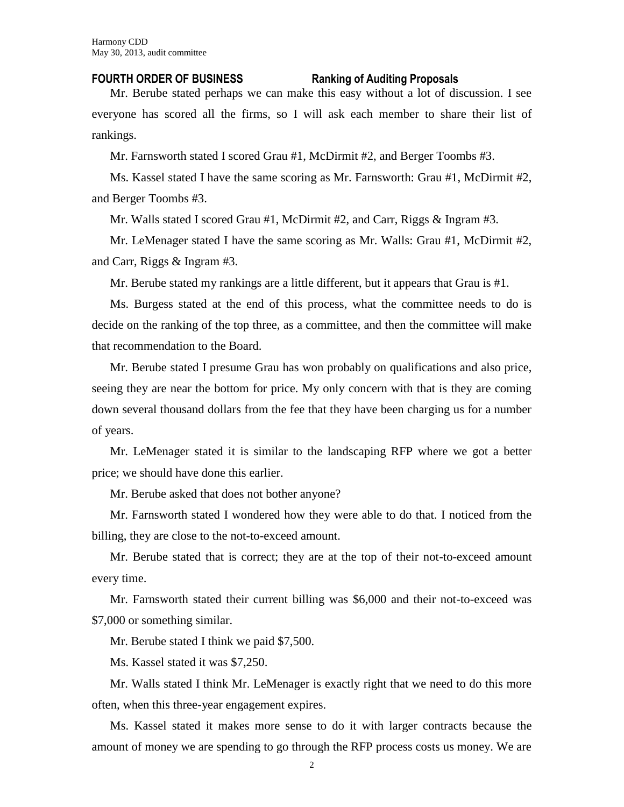### **FOURTH ORDER OF BUSINESS Ranking of Auditing Proposals**

Mr. Berube stated perhaps we can make this easy without a lot of discussion. I see everyone has scored all the firms, so I will ask each member to share their list of rankings.

Mr. Farnsworth stated I scored Grau #1, McDirmit #2, and Berger Toombs #3.

Ms. Kassel stated I have the same scoring as Mr. Farnsworth: Grau #1, McDirmit #2, and Berger Toombs #3.

Mr. Walls stated I scored Grau #1, McDirmit #2, and Carr, Riggs & Ingram #3.

Mr. LeMenager stated I have the same scoring as Mr. Walls: Grau #1, McDirmit #2, and Carr, Riggs & Ingram #3.

Mr. Berube stated my rankings are a little different, but it appears that Grau is #1.

Ms. Burgess stated at the end of this process, what the committee needs to do is decide on the ranking of the top three, as a committee, and then the committee will make that recommendation to the Board.

Mr. Berube stated I presume Grau has won probably on qualifications and also price, seeing they are near the bottom for price. My only concern with that is they are coming down several thousand dollars from the fee that they have been charging us for a number of years.

Mr. LeMenager stated it is similar to the landscaping RFP where we got a better price; we should have done this earlier.

Mr. Berube asked that does not bother anyone?

Mr. Farnsworth stated I wondered how they were able to do that. I noticed from the billing, they are close to the not-to-exceed amount.

Mr. Berube stated that is correct; they are at the top of their not-to-exceed amount every time.

Mr. Farnsworth stated their current billing was \$6,000 and their not-to-exceed was \$7,000 or something similar.

Mr. Berube stated I think we paid \$7,500.

Ms. Kassel stated it was \$7,250.

Mr. Walls stated I think Mr. LeMenager is exactly right that we need to do this more often, when this three-year engagement expires.

Ms. Kassel stated it makes more sense to do it with larger contracts because the amount of money we are spending to go through the RFP process costs us money. We are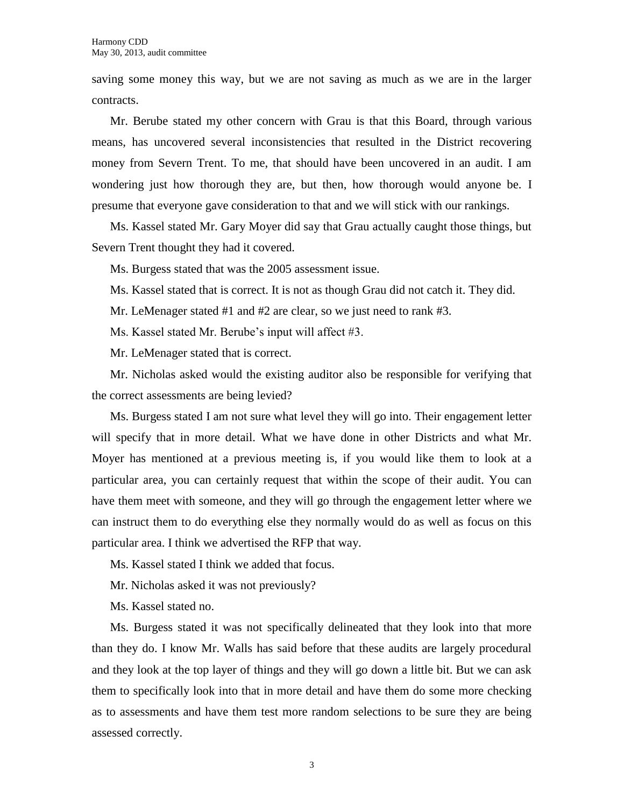saving some money this way, but we are not saving as much as we are in the larger contracts.

Mr. Berube stated my other concern with Grau is that this Board, through various means, has uncovered several inconsistencies that resulted in the District recovering money from Severn Trent. To me, that should have been uncovered in an audit. I am wondering just how thorough they are, but then, how thorough would anyone be. I presume that everyone gave consideration to that and we will stick with our rankings.

Ms. Kassel stated Mr. Gary Moyer did say that Grau actually caught those things, but Severn Trent thought they had it covered.

Ms. Burgess stated that was the 2005 assessment issue.

Ms. Kassel stated that is correct. It is not as though Grau did not catch it. They did.

Mr. LeMenager stated #1 and #2 are clear, so we just need to rank #3.

Ms. Kassel stated Mr. Berube's input will affect #3.

Mr. LeMenager stated that is correct.

Mr. Nicholas asked would the existing auditor also be responsible for verifying that the correct assessments are being levied?

Ms. Burgess stated I am not sure what level they will go into. Their engagement letter will specify that in more detail. What we have done in other Districts and what Mr. Moyer has mentioned at a previous meeting is, if you would like them to look at a particular area, you can certainly request that within the scope of their audit. You can have them meet with someone, and they will go through the engagement letter where we can instruct them to do everything else they normally would do as well as focus on this particular area. I think we advertised the RFP that way.

Ms. Kassel stated I think we added that focus.

Mr. Nicholas asked it was not previously?

Ms. Kassel stated no.

Ms. Burgess stated it was not specifically delineated that they look into that more than they do. I know Mr. Walls has said before that these audits are largely procedural and they look at the top layer of things and they will go down a little bit. But we can ask them to specifically look into that in more detail and have them do some more checking as to assessments and have them test more random selections to be sure they are being assessed correctly.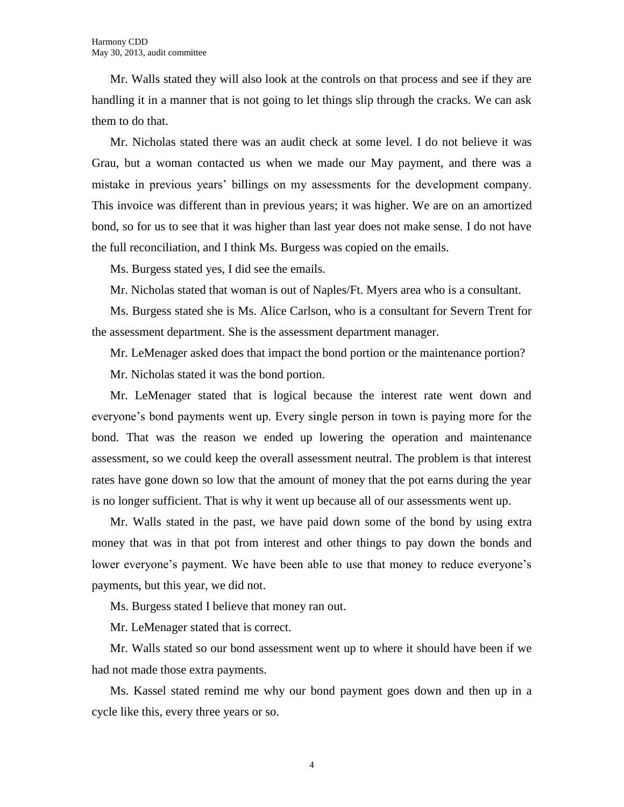Mr. Walls stated they will also look at the controls on that process and see if they are handling it in a manner that is not going to let things slip through the cracks. We can ask them to do that.

Mr. Nicholas stated there was an audit check at some level. I do not believe it was Grau, but a woman contacted us when we made our May payment, and there was a mistake in previous years' billings on my assessments for the development company. This invoice was different than in previous years; it was higher. We are on an amortized bond, so for us to see that it was higher than last year does not make sense. I do not have the full reconciliation, and I think Ms. Burgess was copied on the emails.

Ms. Burgess stated yes, I did see the emails.

Mr. Nicholas stated that woman is out of Naples/Ft. Myers area who is a consultant.

Ms. Burgess stated she is Ms. Alice Carlson, who is a consultant for Severn Trent for the assessment department. She is the assessment department manager.

Mr. LeMenager asked does that impact the bond portion or the maintenance portion?

Mr. Nicholas stated it was the bond portion.

Mr. LeMenager stated that is logical because the interest rate went down and everyone's bond payments went up. Every single person in town is paying more for the bond. That was the reason we ended up lowering the operation and maintenance assessment, so we could keep the overall assessment neutral. The problem is that interest rates have gone down so low that the amount of money that the pot earns during the year is no longer sufficient. That is why it went up because all of our assessments went up.

Mr. Walls stated in the past, we have paid down some of the bond by using extra money that was in that pot from interest and other things to pay down the bonds and lower everyone's payment. We have been able to use that money to reduce everyone's payments, but this year, we did not.

Ms. Burgess stated I believe that money ran out.

Mr. LeMenager stated that is correct.

Mr. Walls stated so our bond assessment went up to where it should have been if we had not made those extra payments.

Ms. Kassel stated remind me why our bond payment goes down and then up in a cycle like this, every three years or so.

4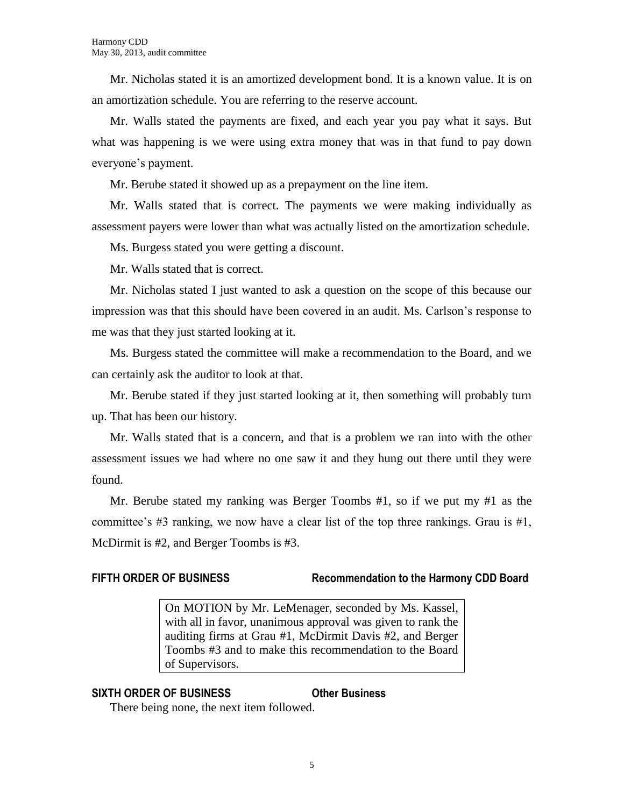Mr. Nicholas stated it is an amortized development bond. It is a known value. It is on an amortization schedule. You are referring to the reserve account.

Mr. Walls stated the payments are fixed, and each year you pay what it says. But what was happening is we were using extra money that was in that fund to pay down everyone's payment.

Mr. Berube stated it showed up as a prepayment on the line item.

Mr. Walls stated that is correct. The payments we were making individually as assessment payers were lower than what was actually listed on the amortization schedule.

Ms. Burgess stated you were getting a discount.

Mr. Walls stated that is correct.

Mr. Nicholas stated I just wanted to ask a question on the scope of this because our impression was that this should have been covered in an audit. Ms. Carlson's response to me was that they just started looking at it.

Ms. Burgess stated the committee will make a recommendation to the Board, and we can certainly ask the auditor to look at that.

Mr. Berube stated if they just started looking at it, then something will probably turn up. That has been our history.

Mr. Walls stated that is a concern, and that is a problem we ran into with the other assessment issues we had where no one saw it and they hung out there until they were found.

Mr. Berube stated my ranking was Berger Toombs #1, so if we put my #1 as the committee's  $\#3$  ranking, we now have a clear list of the top three rankings. Grau is  $\#1$ , McDirmit is #2, and Berger Toombs is #3.

## **FIFTH ORDER OF BUSINESS Recommendation to the Harmony CDD Board**

On MOTION by Mr. LeMenager, seconded by Ms. Kassel, with all in favor, unanimous approval was given to rank the auditing firms at Grau #1, McDirmit Davis #2, and Berger Toombs #3 and to make this recommendation to the Board of Supervisors.

## **SIXTH ORDER OF BUSINESS Other Business**

There being none, the next item followed.